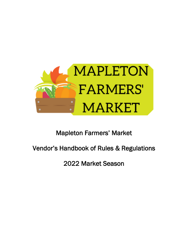

## Mapleton Farmers' Market

# Vendor's Handbook of Rules & Regulations

2022 Market Season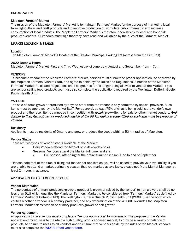## **ORGANIZATION**

#### Mapleton Farmers' Market

The mission of the Mapleton Farmers' Market is to maintain Farmers' Market for the purpose of marketing local farm, agriculture, and craft products and to improve production of, stimulate public interest in and increase consumption of local products. The Mapleton Farmers' Market is therefore open strictly to local and bona fide producer-vendors. All Vendors must sign that they have read and will abide by the rules of the Farmers' Market.

## MARKET LOCATION & SEASON

#### Location

The Mapleton Farmers' Market is located at the Drayton Municipal Parking Lot (across from the Fire Hall)

#### 2022 Dates & Hours

Mapleton Farmers' Market- First and Third Wednesday of June, July, August and September- 4pm – 7pm

## VENDORS

To become a vendor at the Mapleton Farmers' Market, persons must submit the proper application, be approved by the Mapleton Farmers' Market Staff, and agree to abide by the Rules and Regulations. A breach of the Mapleton Farmers' Market Rules and Regulations shall be grounds for no longer being allowed to vend at the Market. If you are vendor selling food products you must also complete the applications required by the Wellington Dufferin Guelph Public Health Unit.

#### 25% Rule

The sale of items grown or produced by anyone other than the vendor is only permitted by special provision. Such items must be approved by the Market Staff. For approval, at least 75% of what is being sold is the vendor's own product and the resell items cannot be in competition with *locally grown* items for sale by other market vendors. And further to that, items grown or produced outside of the 50 km radius are identified as such and must be products of Ontario.

#### **Residency**

Applicants must be residents of Ontario and grow or produce the goods within a 50 km radius of Mapleton.

#### Vendor Status

There are two types of Vendor status available at the Market:

- Daily Vendors attend the Market on a day-by-day basis.
- Seasonal Vendors attend the Market full time, and are:
	- o Full season, attending for the entire summer season June to end of September.

\*Please note that at the time of filling out the vendor application, you will be asked to provide your availability. If you are unable to attend a market during the season that you marked as available, please notify the Market Manager at least 24 hours in advance.

## APPLICATION AND SELECTION PROCESS

#### Vendor Distribution

The percentage of primary producers/growers (product is grown or raised by the vendor) to non-growers shall be no less than 51% which qualifies the Mapleton Farmers' Market to be considered true "Farmers' Market" as defined by Farmers' Market of Ontario (FMO). The Wellington Dufferin Guelph Public Health Unit (WDGHU) is the body which verifies whether a vendor is a primary producer, and any determination of the WDGHU overrides the Mapleton Farmers' Market classification of primary producer/grower or non-grower.

#### Vendor Agreement

All applicants to be a vendor must complete a "Vendor Application" form annually. The purpose of the Vendor Application procedure is to maintain a high quality, producer-based market, to provide a variety of balance of products, to ensure fairness to all Vendors and to ensure that Vendors abide by the rules of the Market. Vendors must also complete the **WDGHU** food vendor form.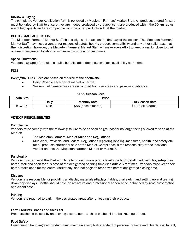## Review & Jurying

The completed Vendor Application form is reviewed by Mapleton Farmers' Market Staff. All products offered for sale must be juried by Staff to ensure they are indeed produced by the applicant, are produced within the 50 km radius, are of high quality and are compatible with the other products sold at the market.

## BOOTH/STALL ALLOCATION

The Mapleton Farmers' Market Staff shall assign stall space on the first day of the season. The Mapleton Farmers' Market Staff may move a vendor for reasons of safety, health, product compatibility and any other valid reason at their discretion; however, the Mapleton Farmers' Market Staff will make every effort to keep a vendor close to their originally designated location to minimize disruption for customers.

### Space Limitations

Vendors may apply for multiple stalls, but allocation depends on space availability at the time.

## **FEES**

Booth/Stall Fees. Fees are based on the size of the booth/stall.

- Daily: Payable each day of market on arrival.
- Season: Full Season fees are discounted from daily fees and payable in advance.

| 2022 Season Fees |       |  |  |
|------------------|-------|--|--|
|                  | Price |  |  |
|                  |       |  |  |

| <b>Booth Size</b> | Price        |                     |                         |
|-------------------|--------------|---------------------|-------------------------|
|                   | <b>Daily</b> | <b>Monthly Rate</b> | <b>Full Season Rate</b> |
| $10\times10$      | \$15         | \$55 (once a month) | $$100$ (all 8 dates)    |

## VENDOR RESPONSIBILITIES

#### **Compliance**

Vendors must comply with the following: failure to do so shall be grounds for no longer being allowed to vend at the Market:

- The Mapleton Farmers' Market Rules and Regulations
- Municipal, Provincial and Federal Regulations regarding labeling, measures, health, and safety etc. for all products offered for sale at the Market. Compliance is the responsibility of the individual Vendor and not the Mapleton Farmers' Market or Market Staff.

#### **Punctuality**

Vendors must arrive at the Market in time to unload, move products into the booth/stall, park vehicles, setup their booth/stall and open for business at the designated opening time (see article 6 for times). Vendors must keep their booth/stalls open for the entire Market day, and not begin to tear down before designated closing time.

#### **Displays**

Vendors are responsible for providing all display materials (displays, tables, chairs etc.) and setting up and tearing down any displays. Booths should have an attractive and professional appearance, enhanced by good presentation and cleanliness.

## Parking

Vendors are required to park in the designated areas after unloading their products.

#### Farm Products Grades and Sales Act

Products should be sold by units or legal containers, such as bushel, 4-litre baskets, quart, etc.

#### Food Safety

Every person handling food product must maintain a very high standard of personal hygiene and cleanliness. In fact,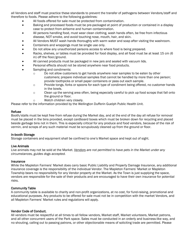all Vendors and staff must practice these standards to prevent the transfer of pathogens between Vendors/staff and therefore to foods. Please adhere to the following guidelines:

- All foods offered for sale must be protected from contamination.
- Baking and processed foods must be pre-packaged at point of production or contained in a display case to protect from airborne and human contamination.
- All persons handling food, must wear clean clothing, wash hands often, be free from infectious disease, NOT smoke, and avoid touching nose, mouth, hair, and skin.
- All Vendors MUST wash hands thoroughly with warm water and soap after visiting the washroom.
- Containers and wrappings must be single use only.
- Do not allow any unauthorized persons access to where food is being prepared.
- Racks, shelves, or tables must be provided for food display, and all food must be at least 15 cm (6 in) off the floor/ground.
- All canned products must be packaged in new jars and sealed with vacuum lids.
- Personal effects should not be stored anywhere near food products.
- Sampling and condiments:
	- o Do not allow customers to get hands anywhere near samples to be eaten by other customers; prepare individual samples that cannot be handled by more than one person; provide toothpicks or small paper containers or pass out each sample.
	- o Provide tongs, forks or spoons for each type of condiment being offered, no customer hands in the bowls.
	- o Clean up the serving area often, being especially careful to pick up food scraps that fall onto the ground or floor.
	- o Watch children very closely.

Please refer to the information provided by the Wellington Dufferin Guelph Public Health Unit.

#### Refuse

Booth/stalls must be kept free from refuse during the Market day, and at the end of the day all refuse for removal must be placed in the bins provided, except cardboard boxes which must be broken down for recycling and placed beside garbage bins not in them. This is especially critical for any produce and food vendors, because of the risk of vermin, and scraps of any such material must be scrupulously cleaned up from the ground or floor.

#### In-booth Storage

Storage containers and equipment shall be confined to one's Market space and kept out of sight.

#### Live Animals

Live animals may not be sold at the Market. *Vendors are not permitted to have pets in the Market under any circumstances, guides dogs accepted.*

#### **Insurance**

While the Mapleton Farmers' Market does carry basic Public Liability and Property Damage Insurance, any additional insurance coverage is the responsibility of the individual Vendor. The Mapleton Farmers' Market or Mapleton Township bears no responsibility for any Vendor property at the Market. As the Town is just supplying the space, vendors are responsible for the sale of their products and are encouraged to have their own insurance for potential risks.

#### Community Table

A community table is available to charity and non-profit organizations, at no cost, for fund-raising, promotional and educational purposes. Any products to be offered for sale must not be in competition with the market Vendors, and all Mapleton Farmers' Market rules and regulations will apply.

#### Vendor Code of Conduct.

All vendors must be respectful at all times to all fellow vendors, Market staff, Market volunteers, Market patrons, and all other concurrent users of the Park space. Sales must be conducted in an orderly and business-like way, and no shouting, calling out to passing patrons, or other objectionable means of soliciting trade are permitted. Please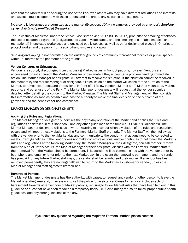note that the Market will be sharing the use of the Park with others who may have different affiliations and interests, and as such must co-operate with those others, and not create any nuisance to those others.

No alcoholic beverages are permitted at the market (Exception: VOA wine samples provided by a vendor). Smoking by vendors is not permitted at the market.

The Township of Mapleton, under the *Smoke-Free Ontario Act,* 2017 (SFOA, 2017) prohibits the smoking of tobacco, the use of electronic cigarettes (e-cigarettes) to vape any substance, and the smoking of cannabis (medical and recreational) in enclosed workplaces and enclosed public spaces, as well as other designated places in Ontario, to protect worker and the public from second-hand smoke and vapour.

Smoking and vaping in not permitted on the outdoor grounds of community recreational facilities or public spaces within 20 metres of the perimeter of the grounds.

## Vendor Concerns or Grievances.

Vendors are strongly discouraged from discussing Market issues in front of patrons; however, Vendors are encouraged to first approach the Market Manager or designate if they encounter a problem needing immediate action. The Market Manager or designate will attempt to resolve the situation. If the situation cannot be resolved in the moment by the Market Manager or designate, all discussion on the matter will cease for the duration of the Market, to remain courteous and professional in front of all fellow vendors, Market staff, Market volunteers, Market patrons, and other users of the Park. The Market Manager or designate will request that the vendor submit a detailed letter detailing the concern to the Market Manager. The Market Staff and Management will then consider this information as soon as possible and has the authority to make the final decision on the outcome of the grievance and the penalties for non-compliance.

## MARKET MANAGER OR DESIGNATE ON SITE

## Applying the Rules and Regulations.

The Market Manager or designate supervises the day-to-day operation of the Market and applies the rules and regulations as detailed in this Handbook, and any other guidelines at the time (i.e., COVID-19 Guidelines). The Market Manager or designate will issue a written warning to a vendor when a violation of the rules and regulations occurs and will report these violations to the Farmers' Market Staff promptly. The Market Staff will then follow up with the vendor prior to the next Market day and communicate to the vendor what actions need to be corrected to meet current guidelines. If the vendor does not make corrective actions, and/or continues to not follow the Market's rules and regulations at the following Market day, the Market Manager or their designate, can ask for their removal from the Market. If this occurs, the Market Manager or their designate, discuss with the Farmers' Market staff if their removal from the Market should be permanent. This decision will be communicated with the vendor either by both phone and email or letter prior to the next Market day. In the event the removal is permanent, and the vendor has pre-paid for any future Market stall days, the vendor shall be re-imbursed their money. If a vendor has been removed permanently, they are no longer allowed to return to the Market as a customer or vendor, unless the Market Manager and staff agrees to lift their ban.

#### Removal of Persons.

The Market Manager or designate has the authority, with cause, to request any vendor or other person to leave the Market operating area and, if necessary, to call the police for assistance. Cause for removal includes acts of harassment towards other vendors or Market patrons, refusing to follow Market rules that have been laid out in this guideline or rules that have been made on a temporary basis (i.e., Covid rules); refusal to follow proper public health guidelines, and any other guidelines of the day.

#### If you have any questions regarding the Mapleton Farmers' Market, please contact: